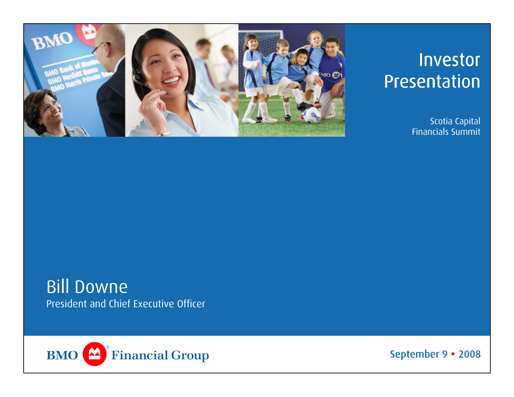

# Investor Presentation

Scotia Capital Financials Summit

## Bill Downe President and Chief Executive Officer



September 9 · 2008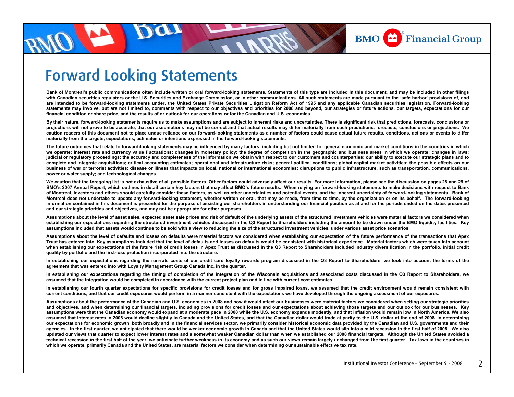

## Forward Looking Statements

**Bank of Montreal's public communications often include written or oral forward-looking statements. Statements of this type are included in this document, and may be included in other filings with Canadian securities regulators or the U.S. Securities and Exchange Commission, or in other communications. All such statements are made pursuant to the 'safe harbor' provisions of, and**  are intended to be forward-looking statements under, the United States Private Securities Litigation Reform Act of 1995 and any applicable Canadian securities legislation. Forward-looking statements may involve, but are not limited to, comments with respect to our objectives and priorities for 2008 and beyond, our strategies or future actions, our targets, expectations for our **financial condition or share price, and the results of or outlook for our operations or for the Canadian and U.S. economies.**

**By their nature, forward-looking statements require us to make assumptions and are subject to inherent risks and uncertainties. There is significant risk that predictions, forecasts, conclusions or projections will not prove to be accurate, that our assumptions may not be correct and that actual results may differ materially from such predictions, forecasts, conclusions or projections. We caution readers of this document not to place undue reliance on our forward-looking statements as a number of factors could cause actual future results, conditions, actions or events to differ materially from the targets, expectations, estimates or intentions expressed in the forward-looking statements.**

The future outcomes that relate to forward-looking statements may be influenced by many factors, including but not limited to: general economic and market conditions in the countries in which we operate; interest rate and currency value fluctuations; changes in monetary policy; the degree of competition in the geographic and business areas in which we operate; changes in laws; **judicial or regulatory proceedings; the accuracy and completeness of the information we obtain with respect to our customers and counterparties; our ability to execute our strategic plans and to complete and integrate acquisitions; critical accounting estimates; operational and infrastructure risks; general political conditions; global capital market activities; the possible effects on our business of war or terrorist activities; disease or illness that impacts on local, national or international economies; disruptions to public infrastructure, such as transportation, communications, power or water supply; and technological changes.**

We caution that the foregoing list is not exhaustive of all possible factors. Other factors could adversely affect our results. For more information, please see the discussion on pages 28 and 29 of **BMO's 2007 Annual Report, which outlines in detail certain key factors that may affect BMO's future results. When relying on forward-looking statements to make decisions with respect to Bank of Montreal, investors and others should carefully consider these factors, as well as other uncertainties and potential events, and the inherent uncertainty of forward-looking statements. Bank of Montreal does not undertake to update any forward-looking statement, whether written or oral, that may be made, from time to time, by the organization or on its behalf. The forward-looking information contained in this document is presented for the purpose of assisting our shareholders in understanding our financial position as at and for the periods ended on the dates presented and our strategic priorities and objectives, and may not be appropriate for other purposes.**

**Assumptions about the level of asset sales, expected asset sale prices and risk of default of the underlying assets of the structured investment vehicles were material factors we considered when establishing our expectations regarding the structured investment vehicles discussed in the Q3 Report to Shareholders including the amount to be drawn under the BMO liquidity facilities. Key assumptions included that assets would continue to be sold with a view to reducing the size of the structured investment vehicles, under various asset price scenarios.**

**Assumptions about the level of defaults and losses on defaults were material factors we considered when establishing our expectation of the future performance of the transactions that Apex Trust has entered into. Key assumptions included that the level of defaults and losses on defaults would be consistent with historical experience. Material factors which were taken into account**  when establishing our expectations of the future risk of credit losses in Apex Trust as discussed in the Q3 Report to Shareholders included industry diversification in the portfolio, initial credit **quality by portfolio and the first-loss protection incorporated into the structure.** 

**In establishing our expectations regarding the run-rate costs of our credit card loyalty rewards program discussed in the Q3 Report to Shareholders, we took into account the terms of the agreement that was entered into with Loyalty Management Group Canada Inc. in the quarter.**

**In establishing our expectations regarding the timing of completion of the integration of the Wisconsin acquisitions and associated costs discussed in the Q3 Report to Shareholders, we assumed that the integration would be completed in accordance with the current project plan and in line with current cost estimates.**

**In establishing our fourth quarter expectations for specific provisions for credit losses and for gross impaired loans, we assumed that the credit environment would remain consistent with current conditions, and that our credit exposures would perform in a manner consistent with the expectations we have developed through the ongoing assessment of our exposures.**

**Assumptions about the performance of the Canadian and U.S. economies in 2008 and how it would affect our businesses were material factors we considered when setting our strategic priorities and objectives, and when determining our financial targets, including provisions for credit losses and our expectations about achieving those targets and our outlook for our businesses. Key assumptions were that the Canadian economy would expand at a moderate pace in 2008 while the U.S. economy expands modestly, and that inflation would remain low in North America. We also**  assumed that interest rates in 2008 would decline slightly in Canada and the United States, and that the Canadian dollar would trade at parity to the U.S. dollar at the end of 2008. In determining our expectations for economic growth, both broadly and in the financial services sector, we primarily consider historical economic data provided by the Canadian and U.S. governments and their agencies. In the first quarter, we anticipated that there would be weaker economic growth in Canada and that the United States would slip into a mild recession in the first half of 2008. We also **updated our views that quarter to expect lower interest rates and a somewhat weaker Canadian dollar than when we established our 2008 financial targets. Although the United States avoided a technical recession in the first half of the year, we anticipate further weakness in its economy and as such our views remain largely unchanged from the first quarter. Tax laws in the countries in which we operate, primarily Canada and the United States, are material factors we consider when determining our sustainable effective tax rate.**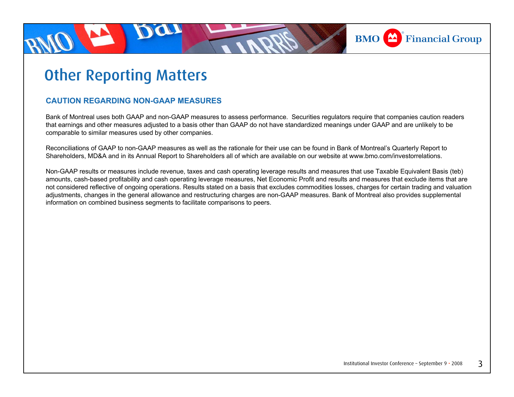

# Other Reporting Matters

#### **CAUTION REGARDING NON-GAAP MEASURES**

Bank of Montreal uses both GAAP and non-GAAP measures to assess performance. Securities regulators require that companies caution readers that earnings and other measures adjusted to a basis other than GAAP do not have standardized meanings under GAAP and are unlikely to be comparable to similar measures used by other companies.

Reconciliations of GAAP to non-GAAP measures as well as the rationale for their use can be found in Bank of Montreal's Quarterly Report to Shareholders, MD&A and in its Annual Report to Shareholders all of which are available on our website at www.bmo.com/investorrelations.

Non-GAAP results or measures include revenue, taxes and cash operating leverage results and measures that use Taxable Equivalent Basis (teb) amounts, cash-based profitability and cash operating leverage measures, Net Economic Profit and results and measures that exclude items that are not considered reflective of ongoing operations. Results stated on a basis that excludes commodities losses, charges for certain trading and valuation adjustments, changes in the general allowance and restructuring charges are non-GAAP measures. Bank of Montreal also provides supplemental information on combined business segments to facilitate comparisons to peers.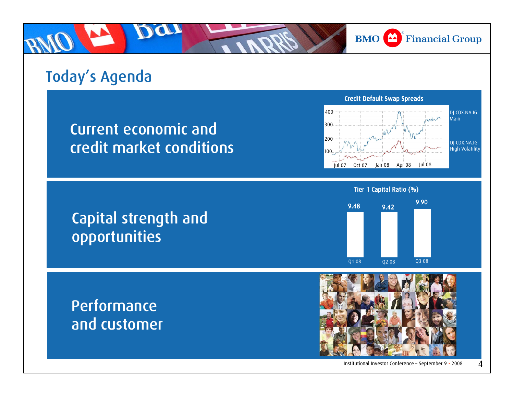**BMO** Financial Group

# Today's Agenda

Current economic and credit market conditions

Capital strength and



Tier 1 Capital Ratio (%)



Performance and customer

opportunities



Institutional Investor Conference – September 9  $\cdot$  2008 4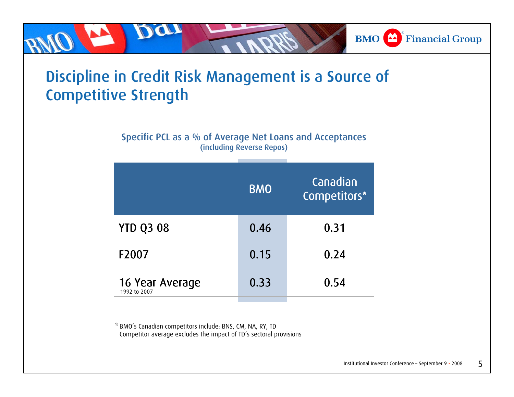# Discipline in Credit Risk Management is a Source of Competitive Strength

DU

Specific PCL as a % of Average Net Loans and Acceptances (including Reverse Repos)

|                                 | <b>BMO</b> | Canadian<br>Competitors* |
|---------------------------------|------------|--------------------------|
| <b>YTD Q3 08</b>                | 0.46       | 0.31                     |
| F2007                           | 0.15       | 0.24                     |
| 16 Year Average<br>1992 to 2007 | 0.33       | 0.54                     |

BMO's Canadian competitors include: BNS, CM, NA, RY, TD \*Competitor average excludes the impact of TD's sectoral provisions **BMO** Financial Group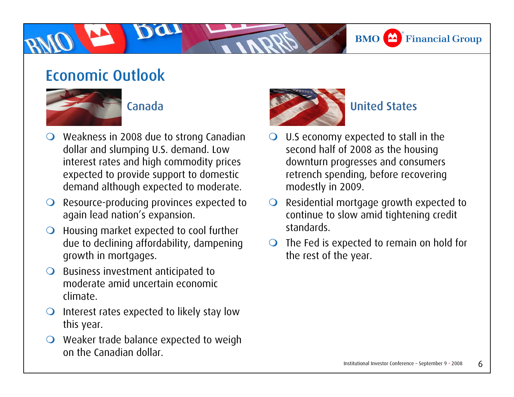#### **BMO**  $\triangle$  Financial Group

## Economic Outlook



#### Canada

- $\bigcirc$  Weakness in 2008 due to strong Canadian dollar and slumping U.S. demand. Low interest rates and high commodity prices expected to provide support to domestic demand although expected to moderate.
- $\bigcirc$  Resource-producing provinces expected to again lead nation's expansion.
- $\bigcirc$  Housing market expected to cool further due to declining affordability, dampening growth in mortgages.
- $\bigcirc$  Business investment anticipated to moderate amid uncertain economic climate.
- $\bigcirc$  Interest rates expected to likely stay low this year.
- $\bigcirc$  Weaker trade balance expected to weigh on the Canadian dollar.



#### United States

- $\bigcirc$  U.S economy expected to stall in the second half of 2008 as the housing downturn progresses and consumers retrench spending, before recovering modestly in 2009.
- $\bullet$  Residential mortgage growth expected to continue to slow amid tightening credit standards.
- $\bigcirc$  The Fed is expected to remain on hold for the rest of the year.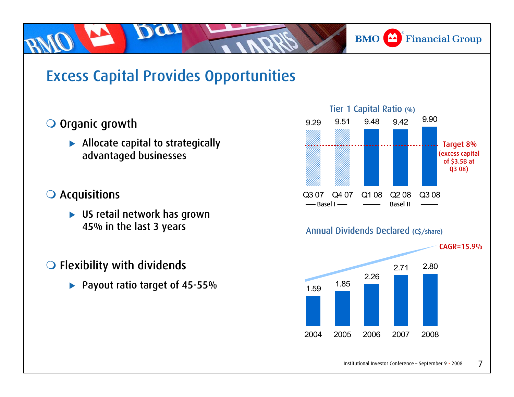#### **BMO** Financial Group

# Excess Capital Provides Opportunities

#### O Organic growth

 $\blacktriangleright$  Allocate capital to strategically advantaged businesses

#### **O** Acquisitions

 $\blacktriangleright$  US retail network has grown 45% in the last 3 years

#### $\bigcirc$  Flexibility with dividends

▶ Payout ratio target of 45-55%

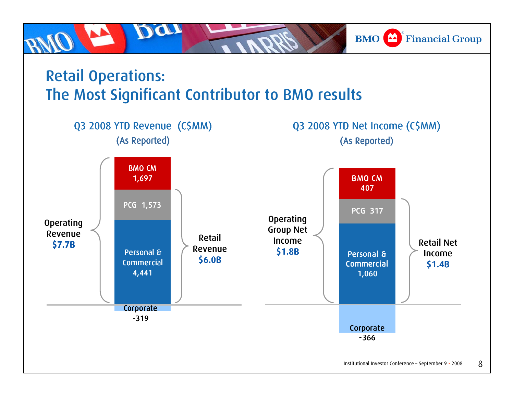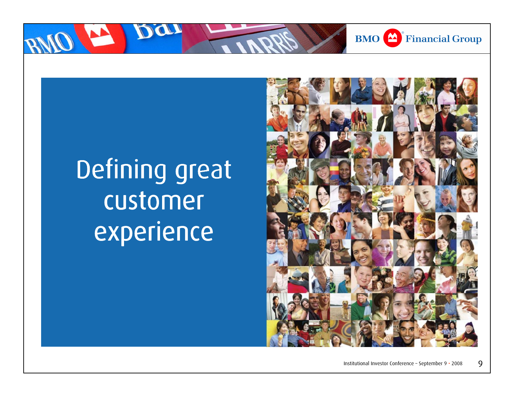

# Defining great customer experience

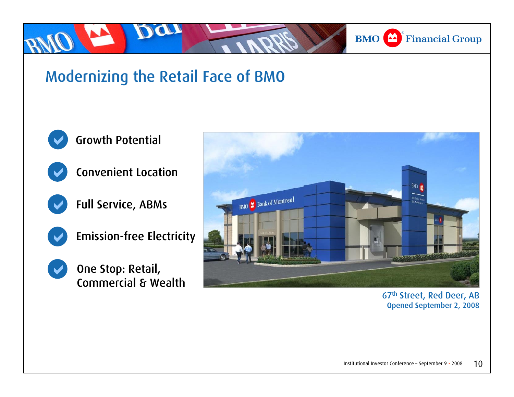## **BMO** Financial Group

# Modernizing the Retail Face of BMO



D

 $\blacktriangledown$ 

### Growth Potential



Full Service, ABMs





One Stop: Retail, Commercial & Wealth



67th Street, Red Deer, AB Opened September 2, 2008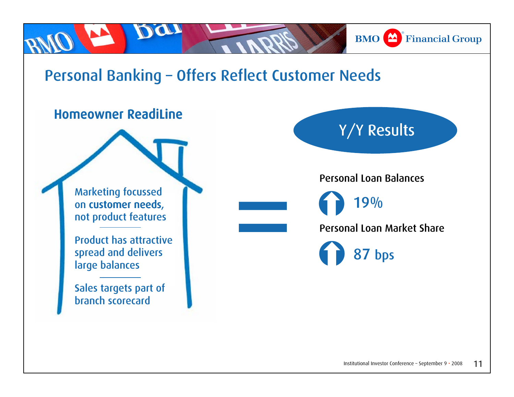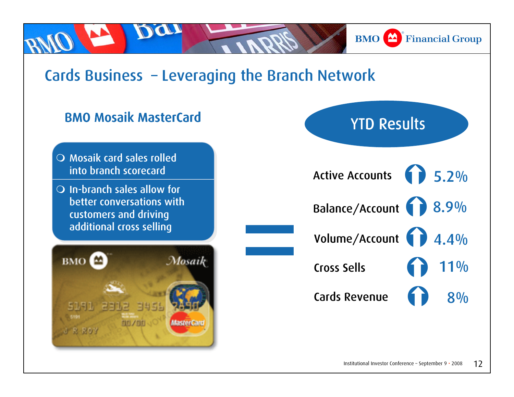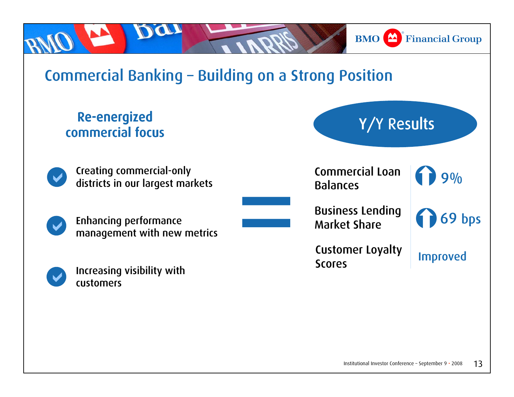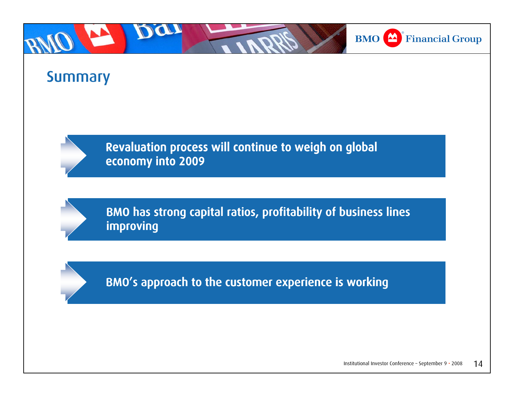

## Summary



Revaluation process will continue to weigh on global economy into 2009

BMO has strong capital ratios, profitability of business lines improving

BMO's approach to the customer experience is working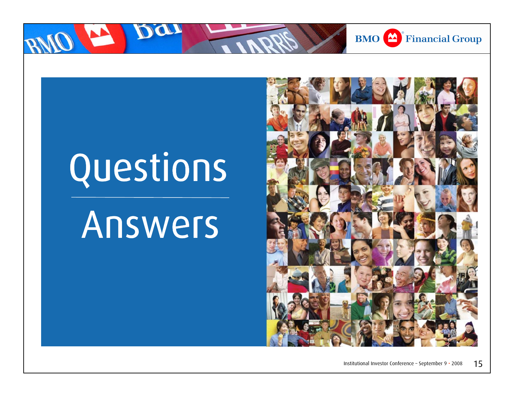

# Questions

# Answers